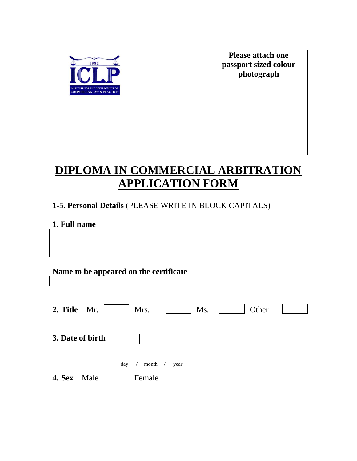

**Please attach one passport sized colour photograph**

# **DIPLOMA IN COMMERCIAL ARBITRATION APPLICATION FORM**

## **1-5. Personal Details** (PLEASE WRITE IN BLOCK CAPITALS)

## **1. Full name**

| Name to be appeared on the certificate |  |  |  |  |  |
|----------------------------------------|--|--|--|--|--|
|----------------------------------------|--|--|--|--|--|

| 2. Title Mr.          | Mrs.                   | Ms.  | Other |  |
|-----------------------|------------------------|------|-------|--|
| 3. Date of birth      |                        |      |       |  |
| <b>4. Sex</b><br>Male | month<br>day<br>Female | year |       |  |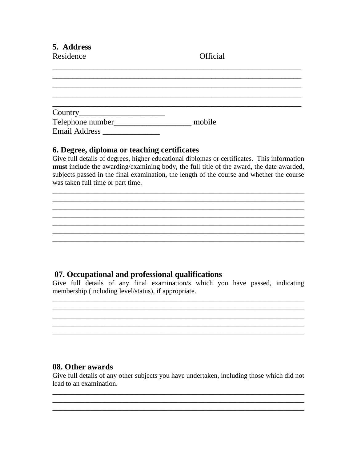5. Address

Residence

Official

|                      | mobile |  |
|----------------------|--------|--|
| <b>Email Address</b> |        |  |

#### 6. Degree, diploma or teaching certificates

Give full details of degrees, higher educational diplomas or certificates. This information **must** include the awarding/examining body, the full title of the award, the date awarded, subjects passed in the final examination, the length of the course and whether the course was taken full time or part time.

### 07. Occupational and professional qualifications

Give full details of any final examination/s which you have passed, indicating membership (including level/status), if appropriate.

#### 08. Other awards

Give full details of any other subjects you have undertaken, including those which did not lead to an examination.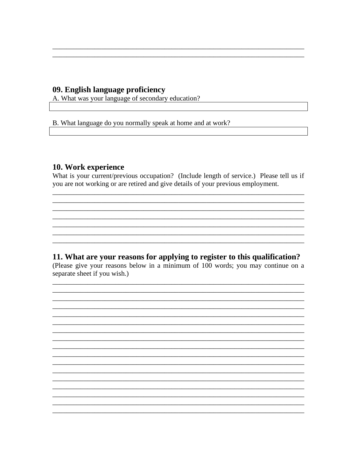#### 09. English language proficiency

A. What was your language of secondary education?

B. What language do you normally speak at home and at work?

#### 10. Work experience

What is your current/previous occupation? (Include length of service.) Please tell us if you are not working or are retired and give details of your previous employment.

#### 11. What are your reasons for applying to register to this qualification?

(Please give your reasons below in a minimum of 100 words; you may continue on a separate sheet if you wish.)